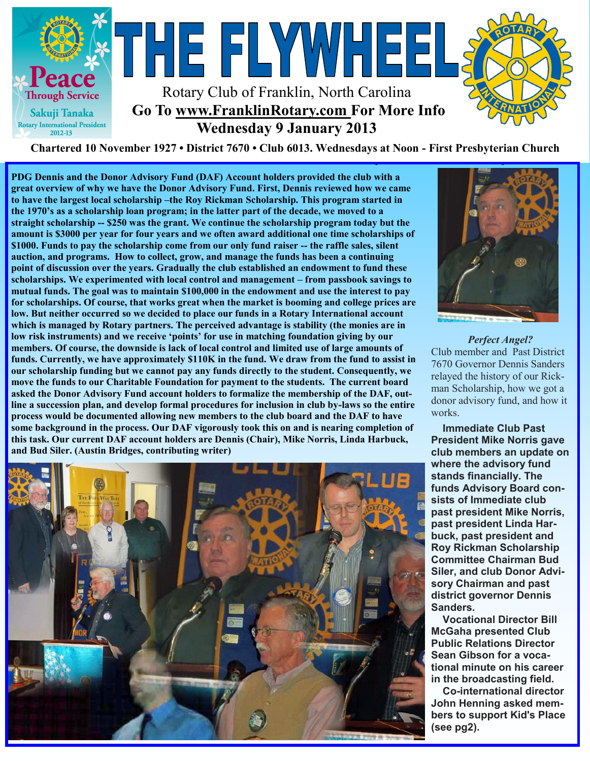

**Charted November 29, 1927 • District 7670 • Club 6013 Wednesdays at Noon - First Presbyterian Church Chartered 10 November 1927 • District 7670 • Club 6013. Wednesdays at Noon - First Presbyterian Church**

**PDG Dennis and the Donor Advisory Fund (DAF) Account holders provided the club with a great overview of why we have the Donor Advisory Fund. First, Dennis reviewed how we came to have the largest local scholarship –the Roy Rickman Scholarship. This program started in the 1970's as a scholarship loan program; in the latter part of the decade, we moved to a straight scholarship -- \$250 was the grant. We continue the scholarship program today but the amount is \$3000 per year for four years and we often award additional one time scholarships of \$1000. Funds to pay the scholarship come from our only fund raiser -- the raffle sales, silent auction, and programs. How to collect, grow, and manage the funds has been a continuing point of discussion over the years. Gradually the club established an endowment to fund these scholarships. We experimented with local control and management – from passbook savings to mutual funds. The goal was to maintain \$100,000 in the endowment and use the interest to pay for scholarships. Of course, that works great when the market is booming and college prices are low. But neither occurred so we decided to place our funds in a Rotary International account which is managed by Rotary partners. The perceived advantage is stability (the monies are in low risk instruments) and we receive 'points' for use in matching foundation giving by our members. Of course, the downside is lack of local control and limited use of large amounts of funds. Currently, we have approximately \$110K in the fund. We draw from the fund to assist in our scholarship funding but we cannot pay any funds directly to the student. Consequently, we move the funds to our Charitable Foundation for payment to the students. The current board asked the Donor Advisory Fund account holders to formalize the membership of the DAF, outline a succession plan, and develop formal procedures for inclusion in club by-laws so the entire process would be documented allowing new members to the club board and the DAF to have some background in the process. Our DAF vigorously took this on and is nearing completion of this task. Our current DAF account holders are Dennis (Chair), Mike Norris, Linda Harbuck, and Bud Siler. (Austin Bridges, contributing writer)**



*Perfect Angel?* Club member and Past District 7670 Governor Dennis Sanders relayed the history of our Rickman Scholarship, how we got a donor advisory fund, and how it works.

 **Immediate Club Past President Mike Norris gave club members an update on where the advisory fund stands financially. The funds Advisory Board consists of Immediate club past president Mike Norris, past president Linda Harbuck, past president and Roy Rickman Scholarship Committee Chairman Bud Siler, and club Donor Advisory Chairman and past district governor Dennis Sanders.**

 **Vocational Director Bill McGaha presented Club Public Relations Director Sean Gibson for a vocational minute on his career in the broadcasting field.**

 **Co-international director John Henning asked members to support Kid's Place (see pg2).**

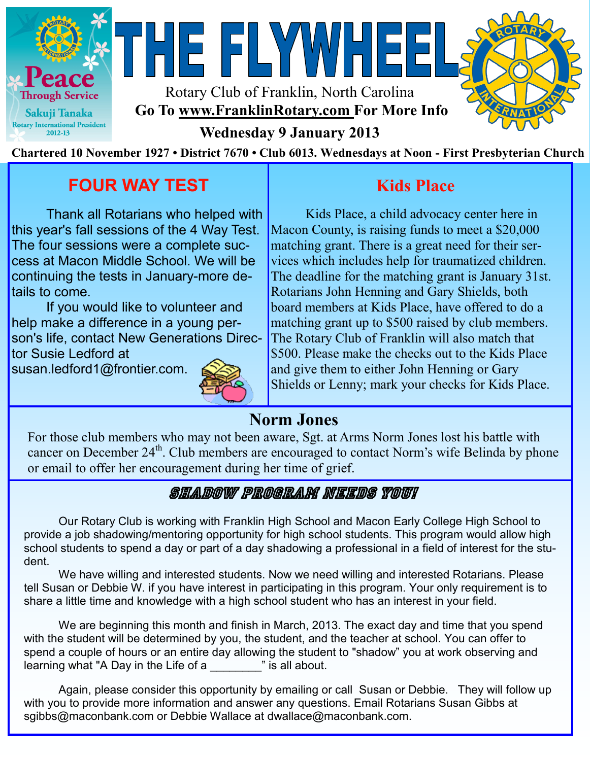

Rotary Club of Franklin, North Carolina **Go To www.FranklinRotary.com For More Info** 

HE FLYWHEE



**Wednesday 9 January 2013**

**Chartered 10 November 1927 • District 7670 • Club 6013. Wednesdays at Noon - First Presbyterian Church**

# **FOUR WAY TEST**

Thank all Rotarians who helped with this year's fall sessions of the 4 Way Test. The four sessions were a complete success at Macon Middle School. We will be continuing the tests in January-more details to come.

If you would like to volunteer and help make a difference in a young person's life, contact New Generations Director Susie Ledford at

susan.ledford1@frontier.com.



## **Kids Place**

Kids Place, a child advocacy center here in Macon County, is raising funds to meet a \$20,000 matching grant. There is a great need for their services which includes help for traumatized children. The deadline for the matching grant is January 31st. Rotarians John Henning and Gary Shields, both board members at Kids Place, have offered to do a matching grant up to \$500 raised by club members. The Rotary Club of Franklin will also match that \$500. Please make the checks out to the Kids Place and give them to either John Henning or Gary Shields or Lenny; mark your checks for Kids Place.

## **Norm Jones**

For those club members who may not been aware, Sgt. at Arms Norm Jones lost his battle with cancer on December 24<sup>th</sup>. Club members are encouraged to contact Norm's wife Belinda by phone or email to offer her encouragement during her time of grief.

## Shadow Program Needs You!

Our Rotary Club is working with Franklin High School and Macon Early College High School to provide a job shadowing/mentoring opportunity for high school students. This program would allow high school students to spend a day or part of a day shadowing a professional in a field of interest for the student.

We have willing and interested students. Now we need willing and interested Rotarians. Please tell Susan or Debbie W. if you have interest in participating in this program. Your only requirement is to share a little time and knowledge with a high school student who has an interest in your field.

We are beginning this month and finish in March, 2013. The exact day and time that you spend with the student will be determined by you, the student, and the teacher at school. You can offer to spend a couple of hours or an entire day allowing the student to "shadow" you at work observing and learning what "A Day in the Life of a **with all is all about.** 

Again, please consider this opportunity by emailing or call Susan or Debbie. They will follow up with you to provide more information and answer any questions. Email Rotarians Susan Gibbs at sgibbs@maconbank.com or Debbie Wallace at dwallace@maconbank.com.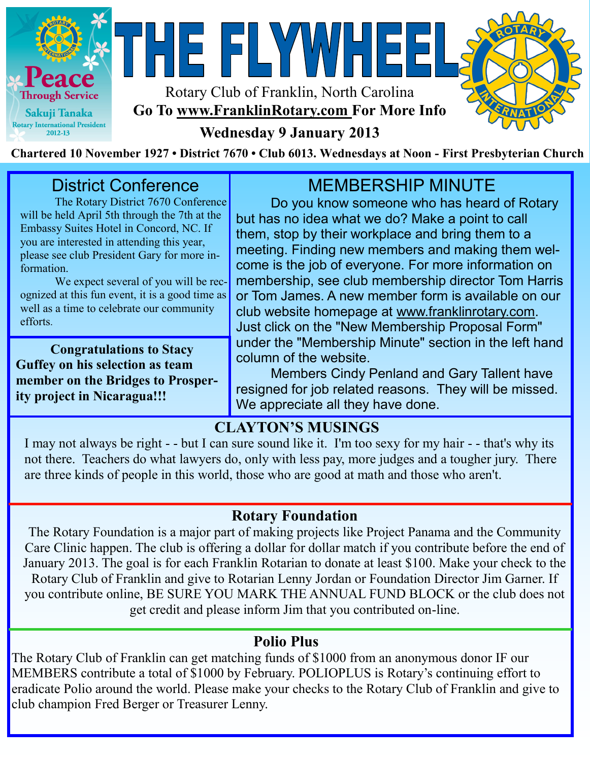



NHE FLYWHEE



## **Wednesday 9 January 2013**

**Chartered 10 November 1927 • District 7670 • Club 6013. Wednesdays at Noon - First Presbyterian Church**

## District Conference

The Rotary District 7670 Conference will be held April 5th through the 7th at the Embassy Suites Hotel in Concord, NC. If you are interested in attending this year, please see club President Gary for more information.

We expect several of you will be recognized at this fun event, it is a good time as well as a time to celebrate our community efforts.

**Congratulations to Stacy Guffey on his selection as team member on the Bridges to Prosperity project in Nicaragua!!!** 

## MEMBERSHIP MINUTE

Do you know someone who has heard of Rotary but has no idea what we do? Make a point to call them, stop by their workplace and bring them to a meeting. Finding new members and making them welcome is the job of everyone. For more information on membership, see club membership director Tom Harris or Tom James. A new member form is available on our club website homepage at www.franklinrotary.com. Just click on the "New Membership Proposal Form" under the "Membership Minute" section in the left hand column of the website.

Members Cindy Penland and Gary Tallent have resigned for job related reasons. They will be missed. We appreciate all they have done.

## **CLAYTON'S MUSINGS**

I may not always be right - - but I can sure sound like it. I'm too sexy for my hair - - that's why its not there. Teachers do what lawyers do, only with less pay, more judges and a tougher jury. There are three kinds of people in this world, those who are good at math and those who aren't.

## **Rotary Foundation**

The Rotary Foundation is a major part of making projects like Project Panama and the Community Care Clinic happen. The club is offering a dollar for dollar match if you contribute before the end of January 2013. The goal is for each Franklin Rotarian to donate at least \$100. Make your check to the Rotary Club of Franklin and give to Rotarian Lenny Jordan or Foundation Director Jim Garner. If you contribute online, BE SURE YOU MARK THE ANNUAL FUND BLOCK or the club does not get credit and please inform Jim that you contributed on-line.

#### **Polio Plus**

The Rotary Club of Franklin can get matching funds of \$1000 from an anonymous donor IF our MEMBERS contribute a total of \$1000 by February. POLIOPLUS is Rotary's continuing effort to eradicate Polio around the world. Please make your checks to the Rotary Club of Franklin and give to club champion Fred Berger or Treasurer Lenny.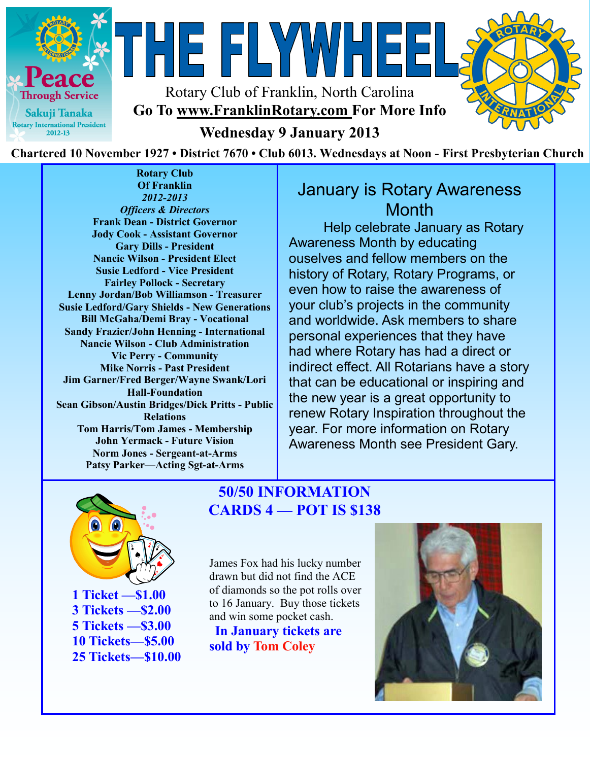

Rotary Club of Franklin, North Carolina **Go To www.FranklinRotary.com For More Info** 

THE FLYWHEE



**Wednesday 9 January 2013**

**Chartered 10 November 1927 • District 7670 • Club 6013. Wednesdays at Noon - First Presbyterian Church**

**Rotary Club Of Franklin** *2012-2013 Officers & Directors* **Frank Dean - District Governor Jody Cook - Assistant Governor Gary Dills - President Nancie Wilson - President Elect Susie Ledford - Vice President Fairley Pollock - Secretary Lenny Jordan/Bob Williamson - Treasurer Susie Ledford/Gary Shields - New Generations Bill McGaha/Demi Bray - Vocational Sandy Frazier/John Henning - International Nancie Wilson - Club Administration Vic Perry - Community Mike Norris - Past President Jim Garner/Fred Berger/Wayne Swank/Lori Hall-Foundation Sean Gibson/Austin Bridges/Dick Pritts - Public Relations Tom Harris/Tom James - Membership John Yermack - Future Vision Norm Jones - Sergeant-at-Arms Patsy Parker—Acting Sgt-at-Arms**

## January is Rotary Awareness **Month**

Help celebrate January as Rotary Awareness Month by educating ouselves and fellow members on the history of Rotary, Rotary Programs, or even how to raise the awareness of your club's projects in the community and worldwide. Ask members to share personal experiences that they have had where Rotary has had a direct or indirect effect. All Rotarians have a story that can be educational or inspiring and the new year is a great opportunity to renew Rotary Inspiration throughout the year. For more information on Rotary Awareness Month see President Gary.



#### **50/50 INFORMATION CARDS 4 — POT IS \$138**

James Fox had his lucky number drawn but did not find the ACE of diamonds so the pot rolls over to 16 January. Buy those tickets and win some pocket cash. **In January tickets are** 

**sold by Tom Coley**